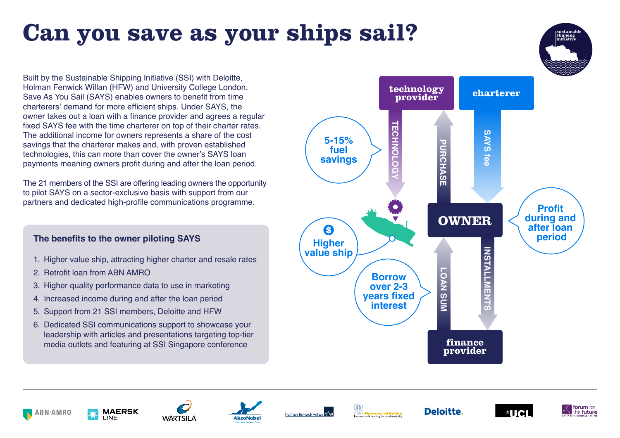# **Can you save as your ships sail?**

Built by the Sustainable Shipping Initiative (SSI) with Deloitte, Holman Fenwick Willan (HFW) and University College London, Save As You Sail (SAYS) enables owners to benefit from time charterers' demand for more efficient ships. Under SAYS, the owner takes out a loan with a finance provider and agrees a regular fixed SAYS fee with the time charterer on top of their charter rates. The additional income for owners represents a share of the cost savings that the charterer makes and, with proven established technologies, this can more than cover the owner's SAYS loan payments meaning owners profit during and after the loan period.

The 21 members of the SSI are offering leading owners the opportunity to pilot SAYS on a sector-exclusive basis with support from our partners and dedicated high-profile communications programme.

## **The benefits to the owner piloting SAYS**

- 1. Higher value ship, attracting higher charter and resale rates
- 2. Retrofit loan from ABN AMRO
- 3. Higher quality performance data to use in marketing
- 4. Increased income during and after the loan period
- 5. Support from 21 SSI members, Deloitte and HFW
- 6. Dedicated SSI communications support to showcase your leadership with articles and presentations targeting top-tier media outlets and featuring at SSI Singapore conference

















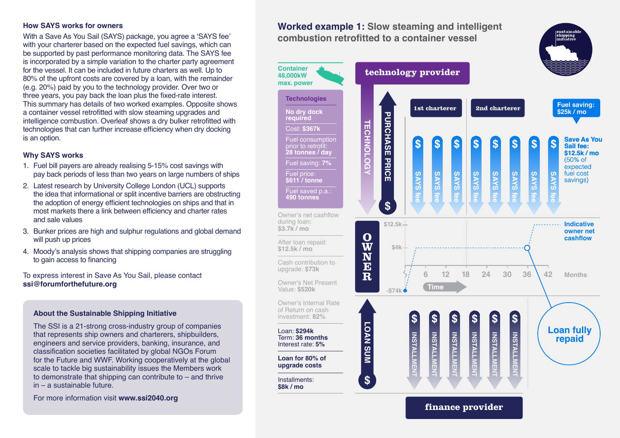#### **How SAYS works for owners**

With a Save As You Sail (SAYS) package, you agree a 'SAYS fee' with your charterer based on the expected fuel savings, which can be supported by past performance monitoring data. The SAYS fee is incorporated by a simple variation to the charter party agreement for the vessel. It can be included in future charters as well. Up to 80% of the upfront costs are covered by a loan, with the remainder (e.g. 20%) paid by you to the technology provider. Over two or three years, you pay back the loan plus the fixed-rate interest. This summary has details of two worked examples. Opposite shows a container vessel retrofitted with slow steaming upgrades and intelligence combustion. Overleaf shows a dry bulker retrofitted with technologies that can further increase efficiency when dry docking is an option.

#### **Why SAYS works**

- 1. Fuel bill payers are already realising 5-15% cost savings with pay back periods of less than two years on large numbers of ships
- 2. Latest research by University College London (UCL) supports the idea that informational or split incentive barriers are obstructing the adoption of energy efficient technologies on ships and that in most markets there a link between efficiency and charter rates and sale values
- 3. Bunker prices are high and sulphur regulations and global demand will push up prices
- 4. Moody's analysis shows that shipping companies are struggling to gain access to financing

To express interest in Save As You Sail, please contact **ssi@forumforthefuture.org**

#### **About the Sustainable Shipping Initiative**

The SSI is a 21-strong cross-industry group of companies that represents ship owners and charterers, shipbuilders, engineers and service providers, banking, insurance, and classification societies facilitated by global NGOs Forum for the Future and WWF. Working cooperatively at the global scale to tackle big sustainability issues the Members work to demonstrate that shipping can contribute to – and thrive in – a sustainable future.

For more information visit **www.ssi2040.org** 

### **Worked example 1: Slow steaming and intelligent combustion retrofitted to a container vessel**



shipping<br>nitiatiw

**finance provider**